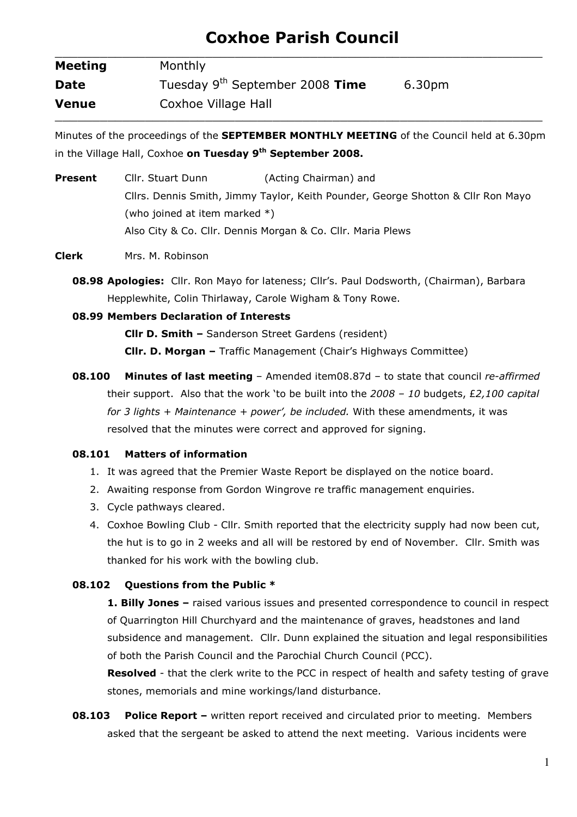# Coxhoe Parish Council

| <b>Meeting</b> | Monthly                                     |        |
|----------------|---------------------------------------------|--------|
| <b>Date</b>    | Tuesday 9 <sup>th</sup> September 2008 Time | 6.30pm |
| <b>Venue</b>   | Coxhoe Village Hall                         |        |

Minutes of the proceedings of the **SEPTEMBER MONTHLY MEETING** of the Council held at 6.30pm in the Village Hall, Coxhoe on Tuesday 9<sup>th</sup> September 2008.

**Present** Cllr. Stuart Dunn (Acting Chairman) and Cllrs. Dennis Smith, Jimmy Taylor, Keith Pounder, George Shotton & Cllr Ron Mayo (who joined at item marked \*) Also City & Co. Cllr. Dennis Morgan & Co. Cllr. Maria Plews

Clerk Mrs. M. Robinson

08.98 Apologies: Cllr. Ron Mayo for lateness; Cllr's. Paul Dodsworth, (Chairman), Barbara Hepplewhite, Colin Thirlaway, Carole Wigham & Tony Rowe.

## 08.99 Members Declaration of Interests

Cllr D. Smith – Sanderson Street Gardens (resident) Cllr. D. Morgan – Traffic Management (Chair's Highways Committee)

**08.100 Minutes of last meeting** - Amended item08.87d - to state that council re-affirmed their support. Also that the work 'to be built into the  $2008 - 10$  budgets, £2,100 capital for 3 lights + Maintenance + power', be included. With these amendments, it was resolved that the minutes were correct and approved for signing.

#### 08.101 Matters of information

- 1. It was agreed that the Premier Waste Report be displayed on the notice board.
- 2. Awaiting response from Gordon Wingrove re traffic management enquiries.
- 3. Cycle pathways cleared.
- 4. Coxhoe Bowling Club Cllr. Smith reported that the electricity supply had now been cut, the hut is to go in 2 weeks and all will be restored by end of November. Cllr. Smith was thanked for his work with the bowling club.

# 08.102 Questions from the Public \*

1. Billy Jones - raised various issues and presented correspondence to council in respect of Quarrington Hill Churchyard and the maintenance of graves, headstones and land subsidence and management. Cllr. Dunn explained the situation and legal responsibilities of both the Parish Council and the Parochial Church Council (PCC).

Resolved - that the clerk write to the PCC in respect of health and safety testing of grave stones, memorials and mine workings/land disturbance.

**08.103** Police Report – written report received and circulated prior to meeting. Members asked that the sergeant be asked to attend the next meeting. Various incidents were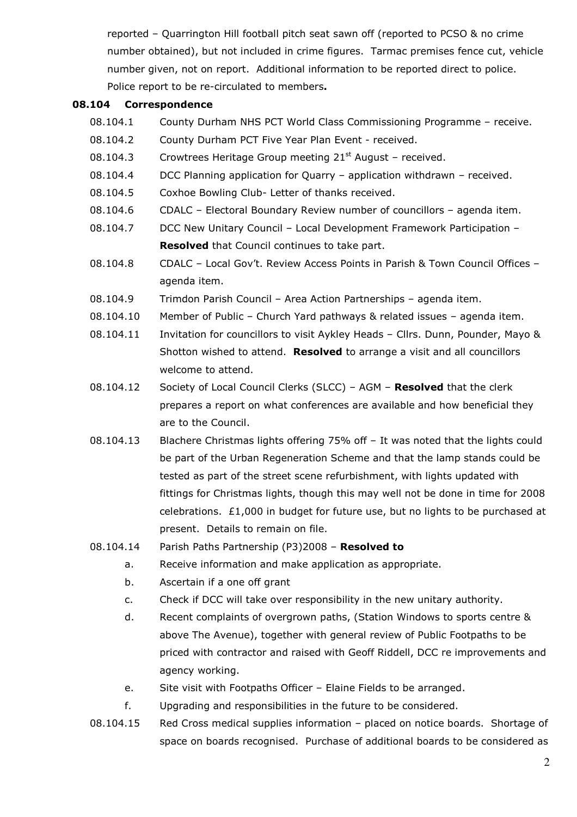reported – Quarrington Hill football pitch seat sawn off (reported to PCSO & no crime number obtained), but not included in crime figures. Tarmac premises fence cut, vehicle number given, not on report. Additional information to be reported direct to police. Police report to be re-circulated to members.

#### 08.104 Correspondence

- 08.104.1 County Durham NHS PCT World Class Commissioning Programme receive.
- 08.104.2 County Durham PCT Five Year Plan Event received.
- 08.104.3 Crowtrees Heritage Group meeting  $21<sup>st</sup>$  August received.
- 08.104.4 DCC Planning application for Quarry application withdrawn received.
- 08.104.5 Coxhoe Bowling Club- Letter of thanks received.
- 08.104.6 CDALC Electoral Boundary Review number of councillors agenda item.
- 08.104.7 DCC New Unitary Council Local Development Framework Participation **Resolved** that Council continues to take part.
- 08.104.8 CDALC Local Gov't. Review Access Points in Parish & Town Council Offices agenda item.
- 08.104.9 Trimdon Parish Council Area Action Partnerships agenda item.
- 08.104.10 Member of Public Church Yard pathways & related issues agenda item.
- 08.104.11 Invitation for councillors to visit Aykley Heads Cllrs. Dunn, Pounder, Mayo & Shotton wished to attend. Resolved to arrange a visit and all councillors welcome to attend.
- 08.104.12 Society of Local Council Clerks (SLCC) AGM Resolved that the clerk prepares a report on what conferences are available and how beneficial they are to the Council.
- 08.104.13 Blachere Christmas lights offering 75% off It was noted that the lights could be part of the Urban Regeneration Scheme and that the lamp stands could be tested as part of the street scene refurbishment, with lights updated with fittings for Christmas lights, though this may well not be done in time for 2008 celebrations. £1,000 in budget for future use, but no lights to be purchased at present. Details to remain on file.
- 08.104.14 Parish Paths Partnership (P3)2008 Resolved to
	- a. Receive information and make application as appropriate.
	- b. Ascertain if a one off grant
	- c. Check if DCC will take over responsibility in the new unitary authority.
	- d. Recent complaints of overgrown paths, (Station Windows to sports centre & above The Avenue), together with general review of Public Footpaths to be priced with contractor and raised with Geoff Riddell, DCC re improvements and agency working.
	- e. Site visit with Footpaths Officer Elaine Fields to be arranged.
	- f. Upgrading and responsibilities in the future to be considered.
- 08.104.15 Red Cross medical supplies information placed on notice boards. Shortage of space on boards recognised. Purchase of additional boards to be considered as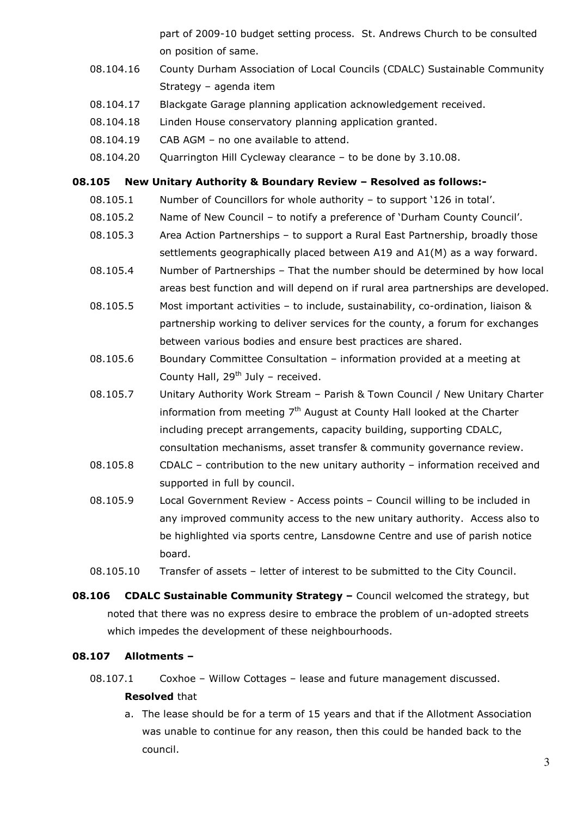part of 2009-10 budget setting process. St. Andrews Church to be consulted on position of same.

- 08.104.16 County Durham Association of Local Councils (CDALC) Sustainable Community Strategy – agenda item
- 08.104.17 Blackgate Garage planning application acknowledgement received.
- 08.104.18 Linden House conservatory planning application granted.
- 08.104.19 CAB AGM no one available to attend.
- 08.104.20 Quarrington Hill Cycleway clearance to be done by 3.10.08.

#### 08.105 New Unitary Authority & Boundary Review – Resolved as follows:-

- 08.105.1 Number of Councillors for whole authority to support '126 in total'.
- 08.105.2 Name of New Council to notify a preference of 'Durham County Council'.
- 08.105.3 Area Action Partnerships to support a Rural East Partnership, broadly those settlements geographically placed between A19 and A1(M) as a way forward.
- 08.105.4 Number of Partnerships That the number should be determined by how local areas best function and will depend on if rural area partnerships are developed.
- 08.105.5 Most important activities to include, sustainability, co-ordination, liaison & partnership working to deliver services for the county, a forum for exchanges between various bodies and ensure best practices are shared.
- 08.105.6 Boundary Committee Consultation information provided at a meeting at County Hall,  $29<sup>th</sup>$  July – received.
- 08.105.7 Unitary Authority Work Stream Parish & Town Council / New Unitary Charter information from meeting  $7<sup>th</sup>$  August at County Hall looked at the Charter including precept arrangements, capacity building, supporting CDALC, consultation mechanisms, asset transfer & community governance review.
- 08.105.8 CDALC contribution to the new unitary authority information received and supported in full by council.
- 08.105.9 Local Government Review Access points Council willing to be included in any improved community access to the new unitary authority. Access also to be highlighted via sports centre, Lansdowne Centre and use of parish notice board.
- 08.105.10 Transfer of assets letter of interest to be submitted to the City Council.
- **08.106** CDALC Sustainable Community Strategy Council welcomed the strategy, but noted that there was no express desire to embrace the problem of un-adopted streets which impedes the development of these neighbourhoods.

#### 08.107 Allotments –

08.107.1 Coxhoe – Willow Cottages – lease and future management discussed.

#### Resolved that

a. The lease should be for a term of 15 years and that if the Allotment Association was unable to continue for any reason, then this could be handed back to the council.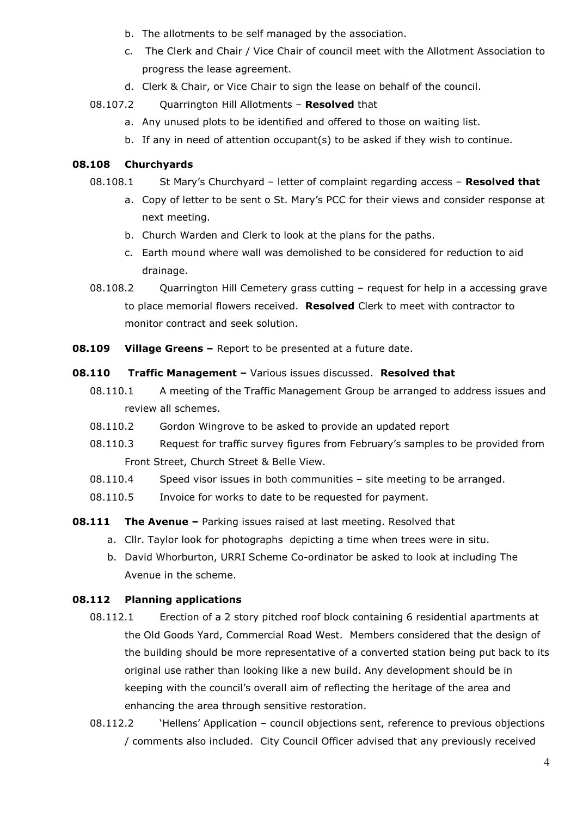- b. The allotments to be self managed by the association.
- c. The Clerk and Chair / Vice Chair of council meet with the Allotment Association to progress the lease agreement.
- d. Clerk & Chair, or Vice Chair to sign the lease on behalf of the council.
- 08.107.2 Quarrington Hill Allotments Resolved that
	- a. Any unused plots to be identified and offered to those on waiting list.
	- b. If any in need of attention occupant(s) to be asked if they wish to continue.

## 08.108 Churchyards

- 08.108.1 St Mary's Churchyard letter of complaint regarding access **Resolved that** 
	- a. Copy of letter to be sent o St. Mary's PCC for their views and consider response at next meeting.
	- b. Church Warden and Clerk to look at the plans for the paths.
	- c. Earth mound where wall was demolished to be considered for reduction to aid drainage.
- 08.108.2 Quarrington Hill Cemetery grass cutting request for help in a accessing grave to place memorial flowers received. Resolved Clerk to meet with contractor to monitor contract and seek solution.
- **08.109** Village Greens Report to be presented at a future date.

#### **08.110 Traffic Management - Various issues discussed. Resolved that**

- 08.110.1 A meeting of the Traffic Management Group be arranged to address issues and review all schemes.
- 08.110.2 Gordon Wingrove to be asked to provide an updated report
- 08.110.3 Request for traffic survey figures from February's samples to be provided from Front Street, Church Street & Belle View.
- 08.110.4 Speed visor issues in both communities site meeting to be arranged.
- 08.110.5 Invoice for works to date to be requested for payment.
- **08.111 The Avenue Parking issues raised at last meeting. Resolved that** 
	- a. Cllr. Taylor look for photographs depicting a time when trees were in situ.
	- b. David Whorburton, URRI Scheme Co-ordinator be asked to look at including The Avenue in the scheme.

#### 08.112 Planning applications

- 08.112.1 Erection of a 2 story pitched roof block containing 6 residential apartments at the Old Goods Yard, Commercial Road West. Members considered that the design of the building should be more representative of a converted station being put back to its original use rather than looking like a new build. Any development should be in keeping with the council's overall aim of reflecting the heritage of the area and enhancing the area through sensitive restoration.
- 08.112.2 'Hellens' Application council objections sent, reference to previous objections / comments also included. City Council Officer advised that any previously received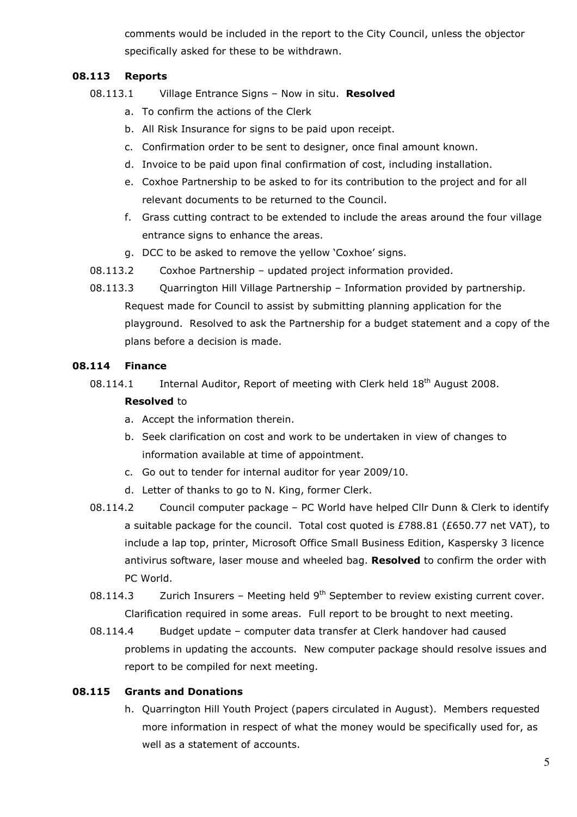comments would be included in the report to the City Council, unless the objector specifically asked for these to be withdrawn.

## 08.113 Reports

- 08.113.1 Village Entrance Signs Now in situ. Resolved
	- a. To confirm the actions of the Clerk
	- b. All Risk Insurance for signs to be paid upon receipt.
	- c. Confirmation order to be sent to designer, once final amount known.
	- d. Invoice to be paid upon final confirmation of cost, including installation.
	- e. Coxhoe Partnership to be asked to for its contribution to the project and for all relevant documents to be returned to the Council.
	- f. Grass cutting contract to be extended to include the areas around the four village entrance signs to enhance the areas.
	- g. DCC to be asked to remove the yellow 'Coxhoe' signs.
- 08.113.2 Coxhoe Partnership updated project information provided.
- 08.113.3 Quarrington Hill Village Partnership Information provided by partnership. Request made for Council to assist by submitting planning application for the playground. Resolved to ask the Partnership for a budget statement and a copy of the plans before a decision is made.

## 08.114 Finance

- 08.114.1 Internal Auditor, Report of meeting with Clerk held 18<sup>th</sup> August 2008. Resolved to
	- a. Accept the information therein.
	- b. Seek clarification on cost and work to be undertaken in view of changes to information available at time of appointment.
	- c. Go out to tender for internal auditor for year 2009/10.
	- d. Letter of thanks to go to N. King, former Clerk.
- 08.114.2 Council computer package PC World have helped Cllr Dunn & Clerk to identify a suitable package for the council. Total cost quoted is £788.81 (£650.77 net VAT), to include a lap top, printer, Microsoft Office Small Business Edition, Kaspersky 3 licence antivirus software, laser mouse and wheeled bag. Resolved to confirm the order with PC World.
- 08.114.3 Zurich Insurers Meeting held  $9<sup>th</sup>$  September to review existing current cover. Clarification required in some areas. Full report to be brought to next meeting.
- 08.114.4 Budget update computer data transfer at Clerk handover had caused problems in updating the accounts. New computer package should resolve issues and report to be compiled for next meeting.

# 08.115 Grants and Donations

h. Quarrington Hill Youth Project (papers circulated in August). Members requested more information in respect of what the money would be specifically used for, as well as a statement of accounts.